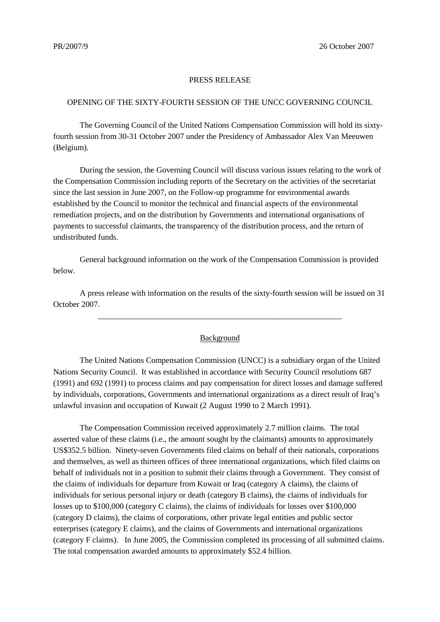## PRESS RELEASE

## OPENING OF THE SIXTY-FOURTH SESSION OF THE UNCC GOVERNING COUNCIL

The Governing Council of the United Nations Compensation Commission will hold its sixtyfourth session from 30-31 October 2007 under the Presidency of Ambassador Alex Van Meeuwen (Belgium).

During the session, the Governing Council will discuss various issues relating to the work of the Compensation Commission including reports of the Secretary on the activities of the secretariat since the last session in June 2007, on the Follow-up programme for environmental awards established by the Council to monitor the technical and financial aspects of the environmental remediation projects, and on the distribution by Governments and international organisations of payments to successful claimants, the transparency of the distribution process, and the return of undistributed funds.

General background information on the work of the Compensation Commission is provided below.

A press release with information on the results of the sixty-fourth session will be issued on 31 October 2007.

\_\_\_\_\_\_\_\_\_\_\_\_\_\_\_\_\_\_\_\_\_\_\_\_\_\_\_\_\_\_\_\_\_\_\_\_\_\_\_\_\_\_\_\_\_\_\_\_\_\_\_\_\_\_\_\_\_\_\_\_

## Background

The United Nations Compensation Commission (UNCC) is a subsidiary organ of the United Nations Security Council. It was established in accordance with Security Council resolutions 687 (1991) and 692 (1991) to process claims and pay compensation for direct losses and damage suffered by individuals, corporations, Governments and international organizations as a direct result of Iraq's unlawful invasion and occupation of Kuwait (2 August 1990 to 2 March 1991).

The Compensation Commission received approximately 2.7 million claims. The total asserted value of these claims (i.e., the amount sought by the claimants) amounts to approximately US\$352.5 billion. Ninety-seven Governments filed claims on behalf of their nationals, corporations and themselves, as well as thirteen offices of three international organizations, which filed claims on behalf of individuals not in a position to submit their claims through a Government. They consist of the claims of individuals for departure from Kuwait or Iraq (category A claims), the claims of individuals for serious personal injury or death (category B claims), the claims of individuals for losses up to \$100,000 (category C claims), the claims of individuals for losses over \$100,000 (category D claims), the claims of corporations, other private legal entities and public sector enterprises (category E claims), and the claims of Governments and international organizations (category F claims). In June 2005, the Commission completed its processing of all submitted claims. The total compensation awarded amounts to approximately \$52.4 billion.